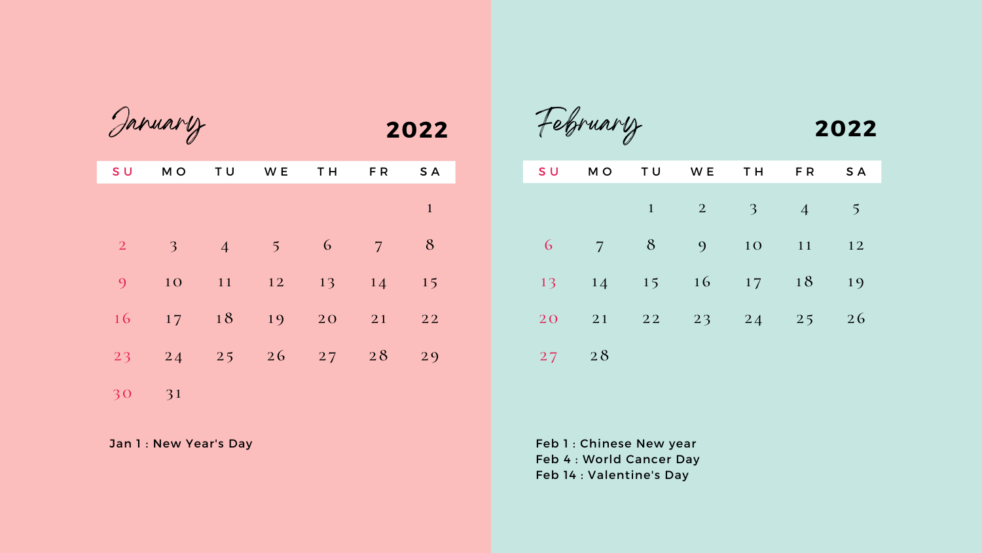| <b>SU</b>      | MO              | <b>TU</b>                             | WE TH FR         |                |                | S A          |
|----------------|-----------------|---------------------------------------|------------------|----------------|----------------|--------------|
|                |                 |                                       |                  |                |                | $\mathbf{1}$ |
|                |                 |                                       |                  |                |                |              |
| $\overline{2}$ | 3               | $\overline{4}$                        | $\sim$ 5         | 6 <sup>1</sup> | $\overline{7}$ | 8            |
| 9              | 10              |                                       | $11 \t 12 \t 13$ |                | 14             | 15           |
|                |                 |                                       |                  |                |                |              |
|                | 16 17 18        |                                       | 19 20            |                | 21             | 22           |
| 23             | $\overline{24}$ | $\begin{array}{ccc} & 25 \end{array}$ | $26 \t 27 \t 28$ |                |                | 29           |
|                |                 |                                       |                  |                |                |              |
| 30             | 31              |                                       |                  |                |                |              |

Jan 1 : New Year's Day

January

|                |  | SU MO TU WE TH FR SA    |  |    |
|----------------|--|-------------------------|--|----|
|                |  | $1 \t 2 \t 3 \t 4 \t 5$ |  |    |
| $\overline{6}$ |  | 7 8 9 10 11 12          |  |    |
|                |  | 13 14 15 16 17 18       |  | 19 |
|                |  | 20 21 22 23 24 25 26    |  |    |

28

# February **2022**

Feb 1 : Chinese New year Feb 4 : World Cancer Day Feb 14 : Valentine's Day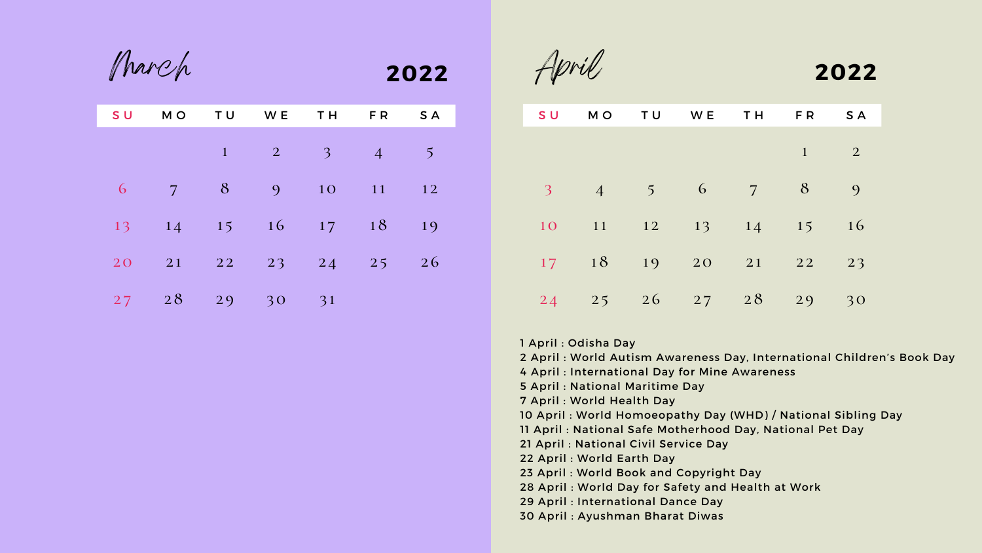| S U | M O            | <b>TU</b>    | WE TH                      |                          | FR             | S A            |
|-----|----------------|--------------|----------------------------|--------------------------|----------------|----------------|
|     |                | $\mathbf{1}$ | $\overline{\phantom{a}}$ 2 | $\overline{\phantom{a}}$ | $\overline{4}$ | 5 <sup>1</sup> |
| 6   | $\overline{7}$ | 8            | 9                          | 10<br><b>CONTRACTOR</b>  | 11             | 12             |
| 13  | 14             |              | 15 16                      | 17                       | 18             | 19             |
| 20  | 21             |              | 22 23 24 25                |                          |                | 26             |
| 27  | 28             | 29           | 30                         | 31                       |                |                |

March

| S U                      | M O            | TU             | <b>Solution</b> W E | T H            | FR.                          | S A            |  |
|--------------------------|----------------|----------------|---------------------|----------------|------------------------------|----------------|--|
|                          |                |                |                     |                | $\mathbf{1}$                 | $\overline{2}$ |  |
| $\overline{\mathcal{E}}$ | $\overline{4}$ | 5 <sup>5</sup> | 6                   | $\overline{7}$ | 8                            | $\overline{O}$ |  |
| 10                       | 11             |                | 12 13               | 14             | 15<br><b>Service Service</b> | <b>16</b>      |  |
| 17                       | 18             | 19             | 20                  | 21             | 22                           | 23             |  |
| 24                       | 25             | 26             |                     | $27 \t28$      | 29                           | 30             |  |

| M O            | SU                       |
|----------------|--------------------------|
|                |                          |
|                |                          |
| $\overline{4}$ | $\overline{\mathcal{E}}$ |
| 11             | 10                       |
| 18             | 17                       |
| 25             | $2\sqrt{4}$              |

 April : Odisha Day April : World Autism Awareness Day, International Children's Book Day April : International Day for Mine Awareness

April : National Maritime Day

[April](https://www.careerindiainfo.in/world-health-day-theme-objective-date/) : World Health Day

April : World Homoeopathy Day (WHD) / National Sibling Day

April **2022**

April : National Safe Motherhood Day, National Pet Day

April : National Civil Service Day

April : World Earth Day

April : World Book and Copyright Day

April : World Day for Safety and Health at Work

April : International Dance Day

April : Ayushman Bharat Diwas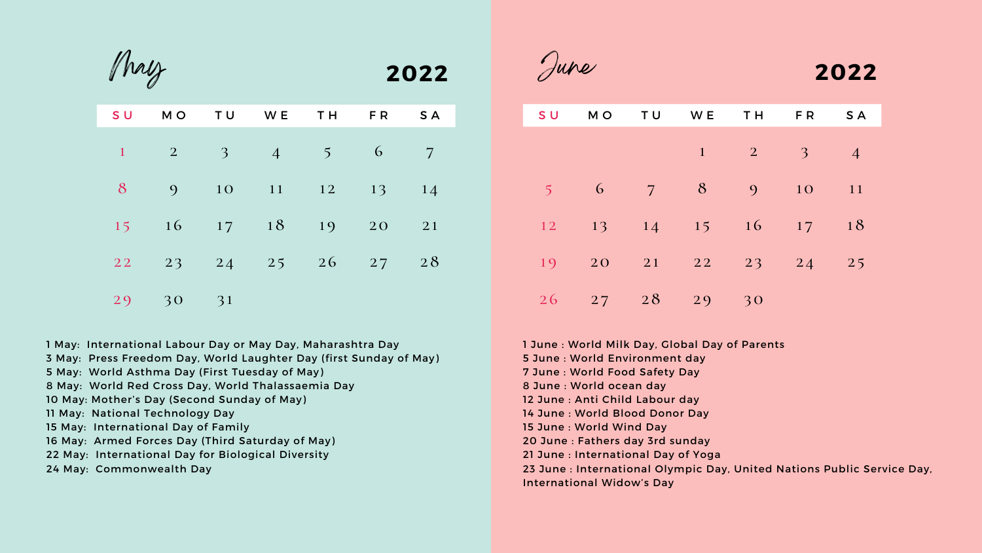| S U          |                                                  | MO TU WE |                                             | <b>TH</b> | F R               | S A            |
|--------------|--------------------------------------------------|----------|---------------------------------------------|-----------|-------------------|----------------|
| $\mathbf{1}$ | $\begin{array}{ c c c }\n\hline\n2\n\end{array}$ |          | $\begin{array}{cccc} 3 & 4 & 5 \end{array}$ |           | $6 \qquad \qquad$ | $\overline{7}$ |
| 8            | 9                                                |          | 10 11 12 13                                 |           |                   | 14             |
| 15           |                                                  |          | $16 \t 17 \t 18$                            |           | 19 20             | 21             |
|              |                                                  |          | 22 23 24 25 26 27 28                        |           |                   |                |
|              | 29 30                                            | 31       |                                             |           |                   |                |

May

| S U            | MO         | TU | W E                                                                                                                                                                                                                                           | TH.            | FR.            | S A             |
|----------------|------------|----|-----------------------------------------------------------------------------------------------------------------------------------------------------------------------------------------------------------------------------------------------|----------------|----------------|-----------------|
|                |            |    | $\mathbf{1}$                                                                                                                                                                                                                                  | $\sim$ 2       | $\overline{3}$ | $\vert 4 \vert$ |
| $\overline{5}$ | 6          | 7  | 8                                                                                                                                                                                                                                             | $\overline{9}$ | 10             | 11              |
| 12             | 13         | 14 | 15<br><b>Contract Contract Contract Contract Contract Contract Contract Contract Contract Contract Contract Contract Co</b><br>and the state of the state of the state of the state of the state of the state of the state of the state of th | 16             | 17             | 18              |
| 19             | 20         | 21 | 22                                                                                                                                                                                                                                            | 23             | $\boxed{24}$   | 25              |
| 26             | $27 \t 28$ |    | 29                                                                                                                                                                                                                                            | 30             |                |                 |

 27 

June

## **2022**

- May: International Labour Day or May Day, Maharashtra Day
- May: Press Freedom Day, World Laughter Day (first Sunday of May)
- May: World Asthma Day (First Tuesday of May)
- May: World Red Cross Day, World Thalassaemia Day
- [May:](https://www.careerindiainfo.in/mothers-day-significance-history-celebration/) Mother's Day (Second Sunday of May)
- May: National Technology Day
- May: International Day of Family
- May: Armed Forces Day (Third Saturday of May)
- May: International Day for Biological Diversity
- May: Commonwealth Day

 June : World Milk Day, Global Day of Parents June : World Environment day June : World Blood Donor Day June : Fathers day 3rd sunday [June](https://www.careerindiainfo.in/international-day-of-yoga-idy-theme-mascot/) : International Day of Yoga June : International Olympic Day, United Nations Public Service Day,

 June : World Food Safety Day June : World ocean day June : Anti Child Labour day June : World Wind Day International Widow's Day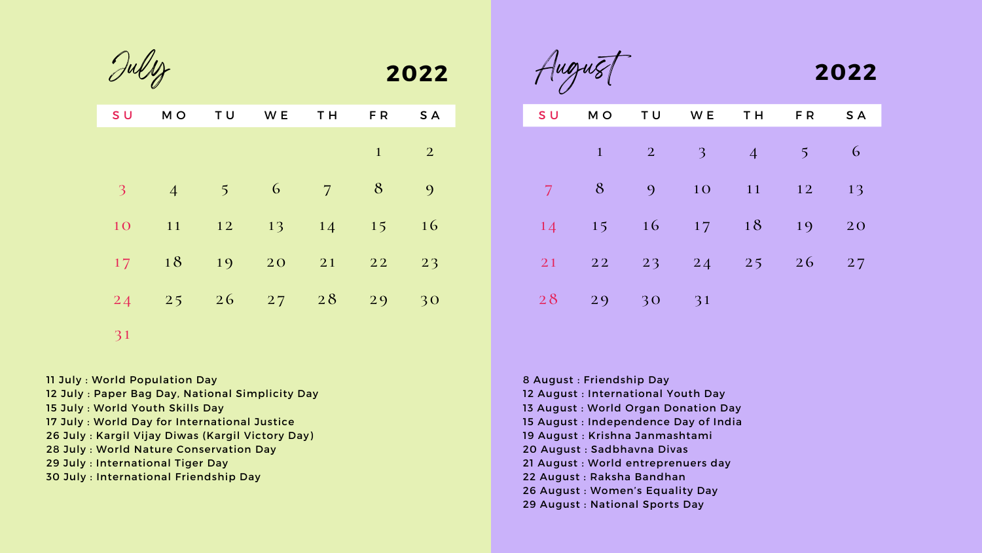| <b>SU</b>                | MO              | TU                                                      | W E                                                                | T H            | FR. | <b>SA</b>      |
|--------------------------|-----------------|---------------------------------------------------------|--------------------------------------------------------------------|----------------|-----|----------------|
|                          |                 |                                                         |                                                                    |                | 1   | $\overline{2}$ |
| $\overline{\mathcal{E}}$ | $\overline{4}$  | $\overline{5}$                                          | 6                                                                  | $\overline{7}$ | 8   | $\mathbf{Q}$   |
| 10                       | 11              | $\begin{array}{ c c c }\n\hline\n&\quad12\n\end{array}$ | 13<br><b>CONTRACTOR</b>                                            | 14             | 15  | 16             |
| 17                       | $\sim$ 18       | 19                                                      | 20                                                                 | 21 22          |     | 23             |
| 24                       | $\frac{25}{25}$ | $\overline{26}$                                         | $\begin{array}{ c c c c }\n\hline\n27 & 28 \\ \hline\n\end{array}$ |                | 29  | 30             |
| 31                       |                 |                                                         |                                                                    |                |     |                |

July

| S U            | M O          |                                                  | TU WE                      | <b>TH</b>                                                      | F R             | S A |
|----------------|--------------|--------------------------------------------------|----------------------------|----------------------------------------------------------------|-----------------|-----|
|                | $\mathbf{1}$ | $\begin{array}{ c c c }\n\hline\n2\n\end{array}$ | $\overline{\phantom{1}}$ 3 | $\overline{4}$                                                 | 5 <sup>1</sup>  | 6   |
| $\overline{7}$ | 8            | 9                                                | 10 <sup>7</sup>            | $\begin{array}{ c c c c }\n\hline\n& 11 & \hline\n\end{array}$ | $\overline{12}$ | 13  |
| 14             | 15           | 16                                               | $17 \t18$                  |                                                                | 19              | 20  |
| 21             | 22           | $\boxed{23}$                                     | $24$ $25$ $26$             |                                                                |                 | 27  |
| 28             | 29 30        |                                                  | 31                         |                                                                |                 |     |

 29 

| 2022 | August | 2022 |
|------|--------|------|
|      |        |      |

July : World Population Day

July : Paper Bag Day, National Simplicity Day

July : World Youth Skills Day

- July : World Day for International Justice
- July : Kargil Vijay Diwas (Kargil Victory Day)
- July : World Nature Conservation Day

July : International Tiger Day

July : International Friendship Day

 August : Friendship Day August : International Youth Day August : World Organ Donation Day August : Independence Day of India August : Krishna Janmashtami August : Sadbhavna Divas August : World entreprenuers day August : Raksha Bandhan August : Women's Equality Day

- 
- 
- 
- 
- 
- 
- 
- 

August : National Sports Day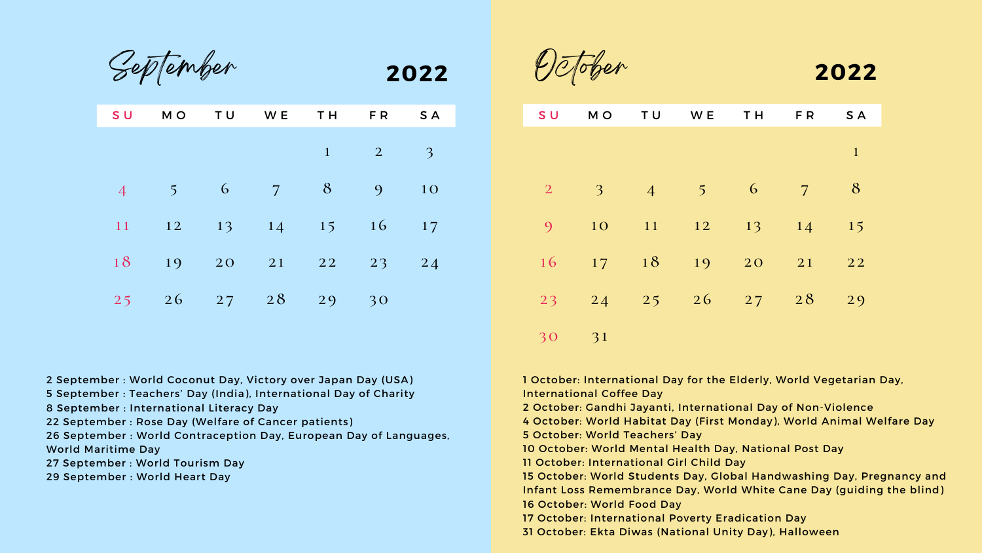| S U            | M O                     | TU | W E | T H              | FR.            | S A             |
|----------------|-------------------------|----|-----|------------------|----------------|-----------------|
|                |                         |    |     | $\mathbf{1}$     | $\overline{2}$ | $\overline{3}$  |
| $\overline{4}$ | 5 <sup>1</sup>          | 6  | 7   | 8                | 9              | 10              |
| 11             | 12<br><b>CONTRACTOR</b> | 13 | 14  | 15               | 16             | 17              |
| 18             | 19                      | 20 |     | $21 \t 22 \t 23$ |                | $\overline{24}$ |
| 25             | 26                      | 27 | 28  | 29               | 30             |                 |

September

| <b>SU</b>       | M O            | TU              | W E           | T H            | FR             | S A          |
|-----------------|----------------|-----------------|---------------|----------------|----------------|--------------|
|                 |                |                 |               |                |                | $\mathbf{1}$ |
| $\overline{2}$  | $\overline{3}$ | $\overline{4}$  | $\frac{1}{5}$ | $\overline{6}$ | $\overline{7}$ | 8            |
| 9               | 10             | 11              | 12            | 13             | 14             | 15           |
|                 | $16 \t 17$     | 18              | 19            | 20             | 21             | 22           |
| $2\overline{3}$ | $\boxed{24}$   | $\overline{25}$ | 26            | 27             | 28             | 29           |

| S U            | MO                      |
|----------------|-------------------------|
|                |                         |
|                |                         |
| $\overline{2}$ | $\overline{\mathbf{3}}$ |
| 9              | $\overline{10}$         |
| 16             | 17                      |
| 23             | $\overline{24}$         |
| 3 <sup>o</sup> | 31                      |

| 2022 | October | 2022 |
|------|---------|------|
|      |         |      |

September : World Coconut Day, Victory over Japan Day (USA)

- September : Teachers' Day (India), International Day of Charity
- September : International Literacy Day
- September : Rose Day (Welfare of Cancer patients)

September : World Contraception Day, European Day of Languages,

World Maritime Day

September : World Tourism Day

September : World Heart Day

 October: International Day for the Elderly, World Vegetarian Day, International Coffee Day October: Gandhi Jayanti, International Day of Non-Violence October: World Habitat Day (First Monday), World Animal Welfare Day October: World Teachers' Day October: World Mental Health Day, National Post Day October: International Girl Child Day October: World Students Day, Global Handwashing Day, Pregnancy and Infant Loss Remembrance Day, World White Cane Day (guiding the blind) October: World Food Day October: International Poverty Eradication Day October: Ekta Diwas (National Unity Day), Halloween